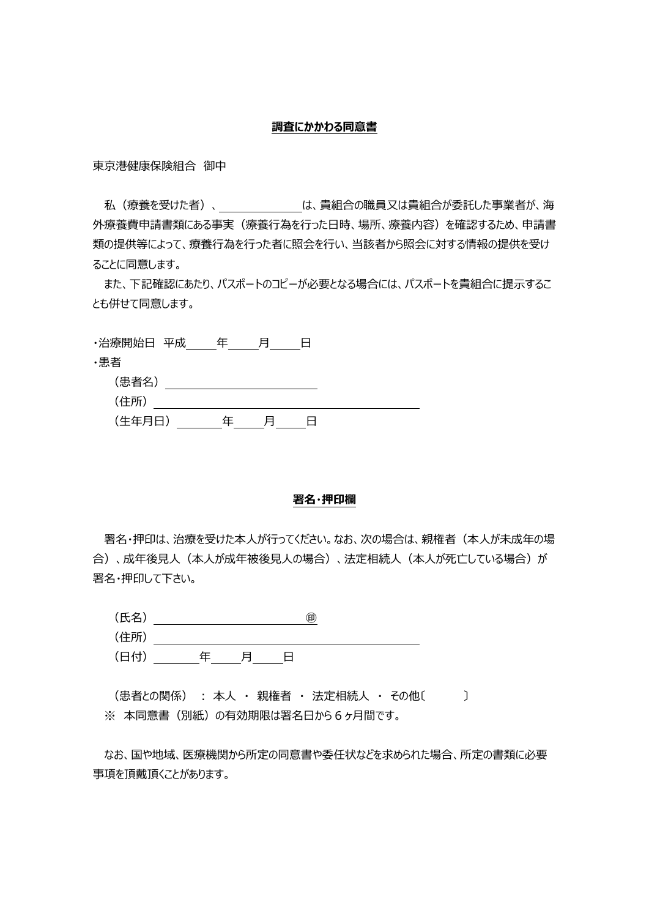### **調査にかかわる同意書**

東京港健康保険組合 御中

私(療養を受けた者)、 は、貴組合の職員又は貴組合が委託した事業者が、海 外療養費申請書類にある事実(療養行為を行った日時、場所、療養内容)を確認するため、申請書 類の提供等によって、療養行為を行った者に照会を行い、当該者から照会に対する情報の提供を受け ることに同意します。

また、下記確認にあたり、パスポートのコピーが必要となる場合には、パスポートを貴組合に提示するこ とも併せて同意します。

| ・治療開始日 平成 | 圧 |  |  |
|-----------|---|--|--|
| ・患者       |   |  |  |
| (患者名)     |   |  |  |
| (住所)      |   |  |  |
| (生年月日)    | 仠 |  |  |

### **署名・押印欄**

署名・押印は、治療を受けた本人が行ってください。なお、次の場合は、親権者(本人が未成年の場 合)、成年後見人(本人が成年被後見人の場合)、法定相続人(本人が死亡している場合)が 署名・押印して下さい。



(患者との関係) : 本人 · 親権者 · 法定相続人 · その他〔 〕 ※ 本同意書(別紙)の有効期限は署名日から6ヶ月間です。

なお、国や地域、医療機関から所定の同意書や委任状などを求められた場合、所定の書類に必要 事項を頂戴頂くことがあります。